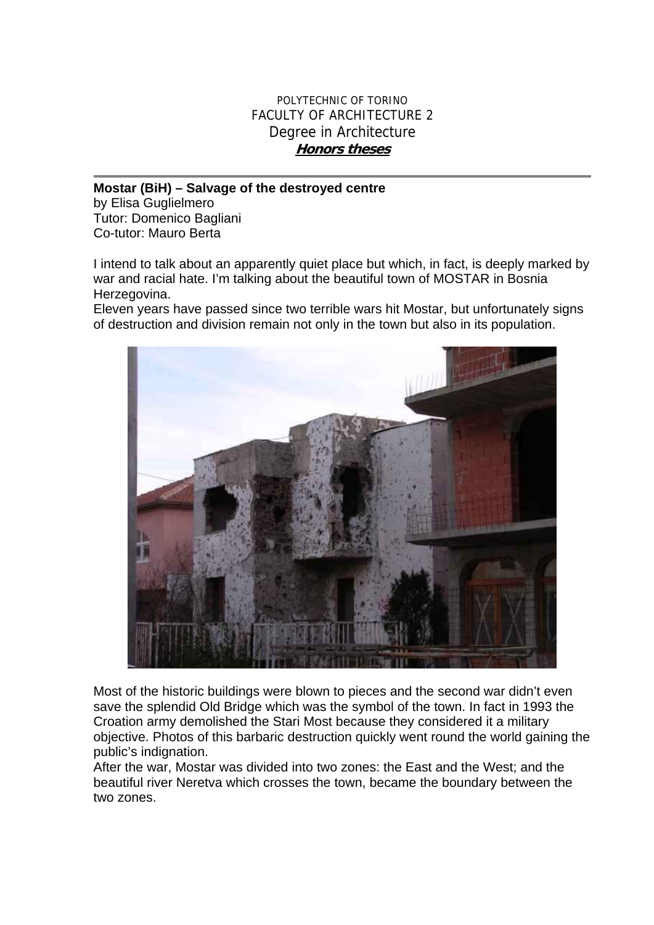## POLYTECHNIC OF TORINO FACULTY OF ARCHITECTURE 2 Degree in Architecture **Honors theses**

## **Mostar (BiH) – Salvage of the destroyed centre**

by Elisa Guglielmero Tutor: Domenico Bagliani Co-tutor: Mauro Berta

I intend to talk about an apparently quiet place but which, in fact, is deeply marked by war and racial hate. I'm talking about the beautiful town of MOSTAR in Bosnia Herzegovina.

Eleven years have passed since two terrible wars hit Mostar, but unfortunately signs of destruction and division remain not only in the town but also in its population.



Most of the historic buildings were blown to pieces and the second war didn't even save the splendid Old Bridge which was the symbol of the town. In fact in 1993 the Croation army demolished the Stari Most because they considered it a military objective. Photos of this barbaric destruction quickly went round the world gaining the public's indignation.

After the war, Mostar was divided into two zones: the East and the West; and the beautiful river Neretva which crosses the town, became the boundary between the two zones.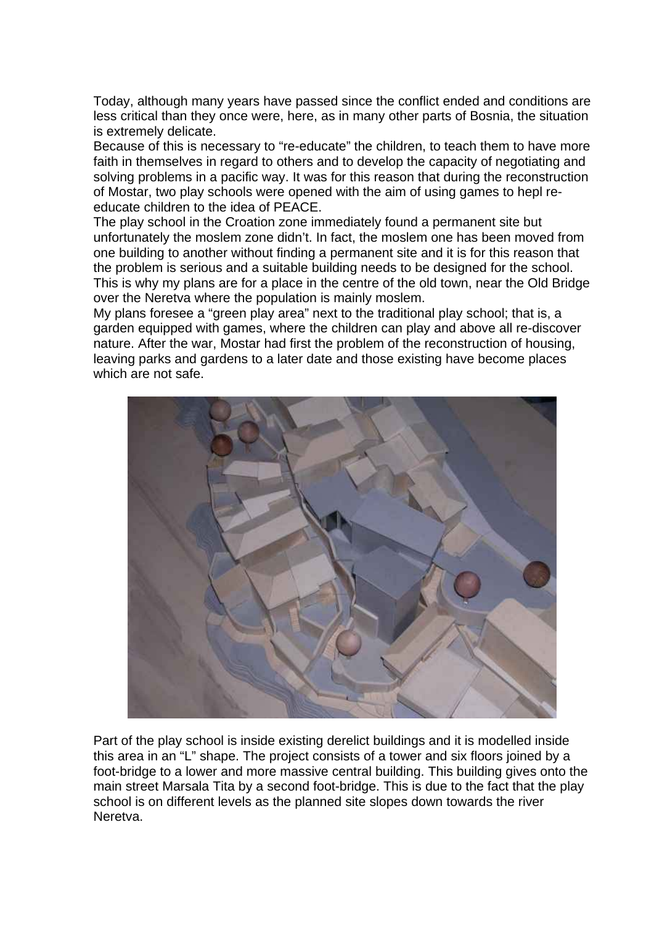Today, although many years have passed since the conflict ended and conditions are less critical than they once were, here, as in many other parts of Bosnia, the situation is extremely delicate.

Because of this is necessary to "re-educate" the children, to teach them to have more faith in themselves in regard to others and to develop the capacity of negotiating and solving problems in a pacific way. It was for this reason that during the reconstruction of Mostar, two play schools were opened with the aim of using games to hepl reeducate children to the idea of PEACE.

The play school in the Croation zone immediately found a permanent site but unfortunately the moslem zone didn't. In fact, the moslem one has been moved from one building to another without finding a permanent site and it is for this reason that the problem is serious and a suitable building needs to be designed for the school. This is why my plans are for a place in the centre of the old town, near the Old Bridge over the Neretva where the population is mainly moslem.

My plans foresee a "green play area" next to the traditional play school; that is, a garden equipped with games, where the children can play and above all re-discover nature. After the war, Mostar had first the problem of the reconstruction of housing, leaving parks and gardens to a later date and those existing have become places which are not safe.



Part of the play school is inside existing derelict buildings and it is modelled inside this area in an "L" shape. The project consists of a tower and six floors joined by a foot-bridge to a lower and more massive central building. This building gives onto the main street Marsala Tita by a second foot-bridge. This is due to the fact that the play school is on different levels as the planned site slopes down towards the river Neretva.